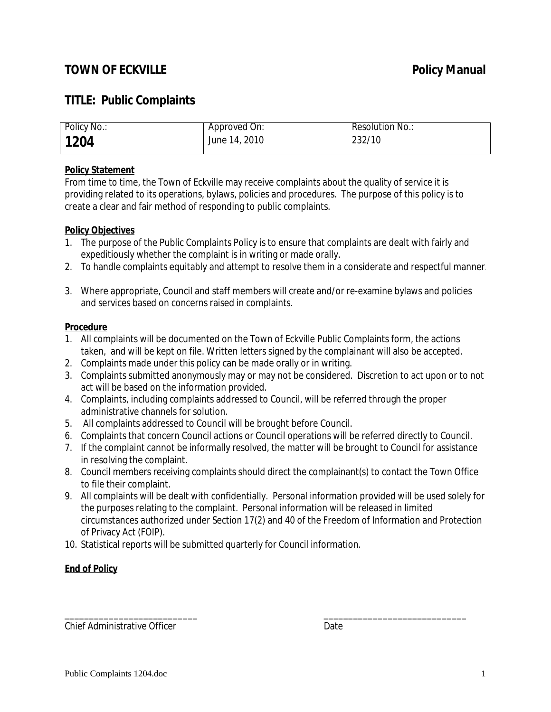## **TOWN OF ECKVILLE Policy Manual**

## **TITLE: Public Complaints**

| Policy No.: | Approved On:  | Resolution No.: |
|-------------|---------------|-----------------|
| 1204        | June 14, 2010 | 232/10          |

#### **Policy Statement**

From time to time, the Town of Eckville may receive complaints about the quality of service it is providing related to its operations, bylaws, policies and procedures. The purpose of this policy is to create a clear and fair method of responding to public complaints.

#### **Policy Objectives**

- 1. The purpose of the Public Complaints Policy is to ensure that complaints are dealt with fairly and expeditiously whether the complaint is in writing or made orally.
- 2. To handle complaints equitably and attempt to resolve them in a considerate and respectful manner.
- 3. Where appropriate, Council and staff members will create and/or re-examine bylaws and policies and services based on concerns raised in complaints.

#### **Procedure**

- 1. All complaints will be documented on the Town of Eckville Public Complaints form, the actions taken, and will be kept on file. Written letters signed by the complainant will also be accepted.
- 2. Complaints made under this policy can be made orally or in writing.
- 3. Complaints submitted anonymously may or may not be considered. Discretion to act upon or to not act will be based on the information provided.
- 4. Complaints, including complaints addressed to Council, will be referred through the proper administrative channels for solution.
- 5. All complaints addressed to Council will be brought before Council.
- 6. Complaints that concern Council actions or Council operations will be referred directly to Council.
- 7. If the complaint cannot be informally resolved, the matter will be brought to Council for assistance in resolving the complaint.
- 8. Council members receiving complaints should direct the complainant(s) to contact the Town Office to file their complaint.
- 9. All complaints will be dealt with confidentially. Personal information provided will be used solely for the purposes relating to the complaint. Personal information will be released in limited circumstances authorized under Section 17(2) and 40 of the Freedom of Information and Protection of Privacy Act (FOIP).
- 10. Statistical reports will be submitted quarterly for Council information.

### **End of Policy**

\_\_\_\_\_\_\_\_\_\_\_\_\_\_\_\_\_\_\_\_\_\_\_\_\_\_\_ \_\_\_\_\_\_\_\_\_\_\_\_\_\_\_\_\_\_\_\_\_\_\_\_\_\_\_\_\_ Chief Administrative Officer **Date** Date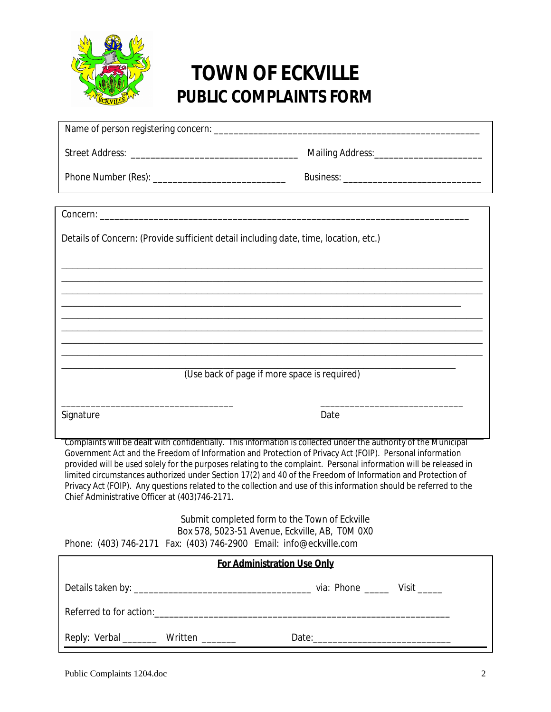

# **TOWN OF ECKVILLE PUBLIC COMPLAINTS FORM**

| Details of Concern: (Provide sufficient detail including date, time, location, etc.)                                                                                                                                                                                                                                                                                                                                                                                                                                                                                                                                                    |                                              |      |
|-----------------------------------------------------------------------------------------------------------------------------------------------------------------------------------------------------------------------------------------------------------------------------------------------------------------------------------------------------------------------------------------------------------------------------------------------------------------------------------------------------------------------------------------------------------------------------------------------------------------------------------------|----------------------------------------------|------|
|                                                                                                                                                                                                                                                                                                                                                                                                                                                                                                                                                                                                                                         |                                              |      |
|                                                                                                                                                                                                                                                                                                                                                                                                                                                                                                                                                                                                                                         |                                              |      |
|                                                                                                                                                                                                                                                                                                                                                                                                                                                                                                                                                                                                                                         |                                              |      |
|                                                                                                                                                                                                                                                                                                                                                                                                                                                                                                                                                                                                                                         |                                              |      |
|                                                                                                                                                                                                                                                                                                                                                                                                                                                                                                                                                                                                                                         | (Use back of page if more space is required) |      |
| Signature                                                                                                                                                                                                                                                                                                                                                                                                                                                                                                                                                                                                                               |                                              | Date |
| Complaints will be dealt with confidentially. This information is collected under the authority of the Municipal<br>Government Act and the Freedom of Information and Protection of Privacy Act (FOIP). Personal information<br>provided will be used solely for the purposes relating to the complaint. Personal information will be released in<br>limited circumstances authorized under Section 17(2) and 40 of the Freedom of Information and Protection of<br>Privacy Act (FOIP). Any questions related to the collection and use of this information should be referred to the<br>Chief Administrative Officer at (403)746-2171. |                                              |      |
| Submit completed form to the Town of Eckville<br>Box 578, 5023-51 Avenue, Eckville, AB, TOM 0X0<br>Phone: (403) 746-2171  Fax: (403) 746-2900  Email: info@eckville.com                                                                                                                                                                                                                                                                                                                                                                                                                                                                 |                                              |      |
| <b>For Administration Use Only</b>                                                                                                                                                                                                                                                                                                                                                                                                                                                                                                                                                                                                      |                                              |      |
|                                                                                                                                                                                                                                                                                                                                                                                                                                                                                                                                                                                                                                         |                                              |      |
|                                                                                                                                                                                                                                                                                                                                                                                                                                                                                                                                                                                                                                         |                                              |      |
|                                                                                                                                                                                                                                                                                                                                                                                                                                                                                                                                                                                                                                         | Reply: Verbal _________ Written ________     |      |